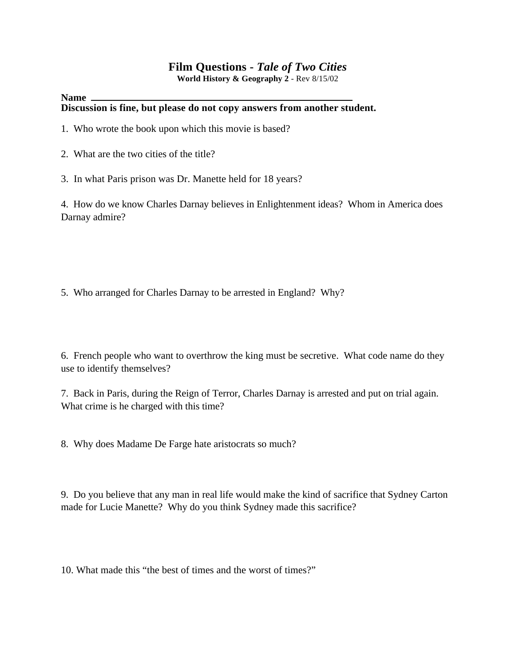# **Film Questions -** *Tale of Two Cities*

**World History & Geography 2** - Rev 8/15/02

#### **Name Discussion is fine, but please do not copy answers from another student.**

- 1. Who wrote the book upon which this movie is based?
- 2. What are the two cities of the title?
- 3. In what Paris prison was Dr. Manette held for 18 years?

4. How do we know Charles Darnay believes in Enlightenment ideas? Whom in America does Darnay admire?

5. Who arranged for Charles Darnay to be arrested in England? Why?

6. French people who want to overthrow the king must be secretive. What code name do they use to identify themselves?

7. Back in Paris, during the Reign of Terror, Charles Darnay is arrested and put on trial again. What crime is he charged with this time?

8. Why does Madame De Farge hate aristocrats so much?

9. Do you believe that any man in real life would make the kind of sacrifice that Sydney Carton made for Lucie Manette? Why do you think Sydney made this sacrifice?

10. What made this "the best of times and the worst of times?"